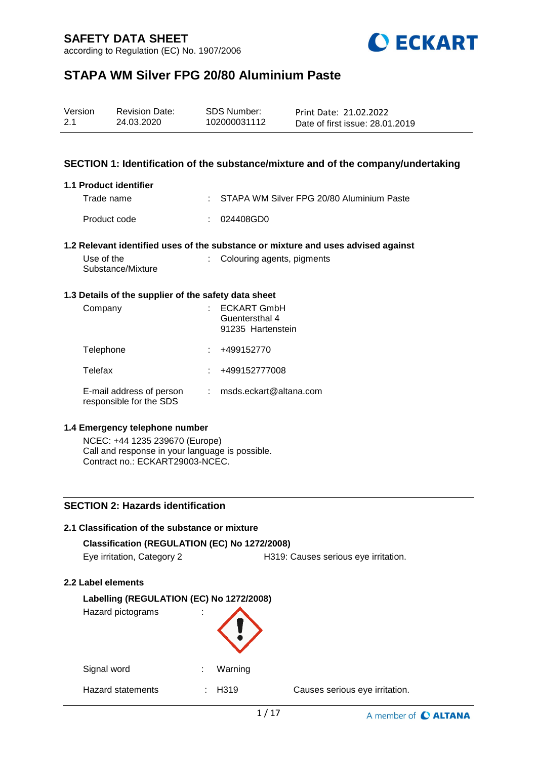according to Regulation (EC) No. 1907/2006



# **STAPA WM Silver FPG 20/80 Aluminium Paste**

| Version | <b>Revision Date:</b> | SDS Number:  | Print Date: 21.02.2022          |
|---------|-----------------------|--------------|---------------------------------|
| 2.1     | 24.03.2020            | 102000031112 | Date of first issue: 28.01.2019 |

### **SECTION 1: Identification of the substance/mixture and of the company/undertaking**

#### **1.1 Product identifier**

| Trade name   | : STAPA WM Silver FPG 20/80 Aluminium Paste |
|--------------|---------------------------------------------|
| Product code | : 024408GD0                                 |

#### **1.2 Relevant identified uses of the substance or mixture and uses advised against**

| Use of the<br>Substance/Mixture | : Colouring agents, pigments |
|---------------------------------|------------------------------|
|                                 |                              |

#### **1.3 Details of the supplier of the safety data sheet**

| Company                                             | <b>ECKART GmbH</b><br>Guentersthal 4<br>91235 Hartenstein |
|-----------------------------------------------------|-----------------------------------------------------------|
| Telephone                                           | +499152770                                                |
| Telefax                                             | +499152777008                                             |
| E-mail address of person<br>responsible for the SDS | msds.eckart@altana.com                                    |

#### **1.4 Emergency telephone number**

NCEC: +44 1235 239670 (Europe) Call and response in your language is possible. Contract no.: ECKART29003-NCEC.

### **SECTION 2: Hazards identification**

#### **2.1 Classification of the substance or mixture**

| Classification (REGULATION (EC) No 1272/2008) |                                      |
|-----------------------------------------------|--------------------------------------|
| Eye irritation, Category 2                    | H319: Causes serious eye irritation. |

#### **2.2 Label elements**

| Labelling (REGULATION (EC) No 1272/2008)<br>Hazard pictograms<br>× |              |                                |  |  |
|--------------------------------------------------------------------|--------------|--------------------------------|--|--|
| Signal word                                                        | Warning<br>÷ |                                |  |  |
| <b>Hazard statements</b>                                           | H319         | Causes serious eye irritation. |  |  |

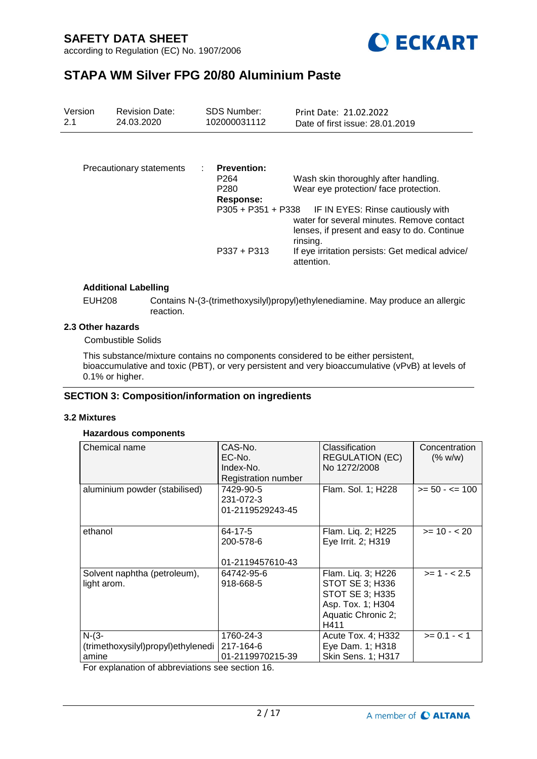



# **STAPA WM Silver FPG 20/80 Aluminium Paste**

| Version<br>2.1 | <b>Revision Date:</b><br>24.03.2020 | <b>SDS Number:</b><br>102000031112                                      | Print Date: 21.02.2022<br>Date of first issue: 28.01.2019                                                                                 |
|----------------|-------------------------------------|-------------------------------------------------------------------------|-------------------------------------------------------------------------------------------------------------------------------------------|
|                |                                     |                                                                         |                                                                                                                                           |
|                | Precautionary statements            | <b>Prevention:</b><br>P <sub>264</sub><br>P <sub>280</sub><br>Response: | Wash skin thoroughly after handling.<br>Wear eye protection/face protection.                                                              |
|                |                                     | $P305 + P351 + P338$                                                    | IF IN EYES: Rinse cautiously with<br>water for several minutes. Remove contact<br>lenses, if present and easy to do. Continue<br>rinsing. |
|                |                                     | $P337 + P313$                                                           | If eye irritation persists: Get medical advice/<br>attention.                                                                             |

### **Additional Labelling**

EUH208 Contains N-(3-(trimethoxysilyl)propyl)ethylenediamine. May produce an allergic reaction.

#### **2.3 Other hazards**

Combustible Solids

This substance/mixture contains no components considered to be either persistent, bioaccumulative and toxic (PBT), or very persistent and very bioaccumulative (vPvB) at levels of 0.1% or higher.

### **SECTION 3: Composition/information on ingredients**

#### **3.2 Mixtures**

### **Hazardous components**

| Chemical name                                            | CAS-No.<br>EC-No.<br>Index-No.<br>Registration number | Classification<br><b>REGULATION (EC)</b><br>No 1272/2008                                                                  | Concentration<br>(% w/w) |
|----------------------------------------------------------|-------------------------------------------------------|---------------------------------------------------------------------------------------------------------------------------|--------------------------|
| aluminium powder (stabilised)                            | 7429-90-5<br>231-072-3<br>01-2119529243-45            | Flam. Sol. 1; H228                                                                                                        | $>= 50 - 5 = 100$        |
| ethanol                                                  | 64-17-5<br>200-578-6<br>01-2119457610-43              | Flam. Liq. 2; H225<br>Eye Irrit. 2; H319                                                                                  | $>= 10 - 20$             |
| Solvent naphtha (petroleum),<br>light arom.              | 64742-95-6<br>918-668-5                               | Flam. Liq. 3; H226<br><b>STOT SE 3; H336</b><br><b>STOT SE 3; H335</b><br>Asp. Tox. 1; H304<br>Aquatic Chronic 2;<br>H411 | $>= 1 - 2.5$             |
| $N-(3-$<br>(trimethoxysilyl)propyl)ethylenedi  <br>amine | 1760-24-3<br>217-164-6<br>01-2119970215-39            | Acute Tox. 4; H332<br>Eye Dam. 1; H318<br>Skin Sens. 1; H317                                                              | $>= 0.1 - 1$             |

For explanation of abbreviations see section 16.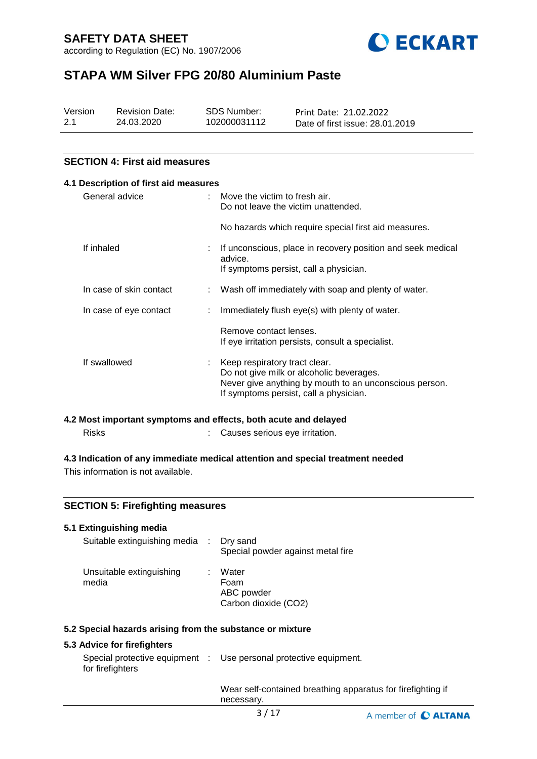according to Regulation (EC) No. 1907/2006



# **STAPA WM Silver FPG 20/80 Aluminium Paste**

| Version | <b>Revision Date:</b> | SDS Number:  | Print Date: 21.02.2022          |
|---------|-----------------------|--------------|---------------------------------|
| 2.1     | 24.03.2020            | 102000031112 | Date of first issue: 28.01.2019 |

### **SECTION 4: First aid measures**

# **4.1 Description of first aid measures** General advice : Move the victim to fresh air. Do not leave the victim unattended. No hazards which require special first aid measures. If inhaled **inconscious**, place in recovery position and seek medical advice. If symptoms persist, call a physician. In case of skin contact : Wash off immediately with soap and plenty of water. In case of eye contact : Immediately flush eye(s) with plenty of water. Remove contact lenses. If eye irritation persists, consult a specialist. If swallowed : Keep respiratory tract clear. Do not give milk or alcoholic beverages. Never give anything by mouth to an unconscious person. If symptoms persist, call a physician.

#### **4.2 Most important symptoms and effects, both acute and delayed**

Risks : Causes serious eye irritation.

### **4.3 Indication of any immediate medical attention and special treatment needed**

This information is not available.

### **SECTION 5: Firefighting measures**

#### **5.1 Extinguishing media** Suitable extinguishing media : Dry sand Special powder against metal fire Unsuitable extinguishing media : Water Foam ABC powder Carbon dioxide (CO2)

#### **5.2 Special hazards arising from the substance or mixture**

### **5.3 Advice for firefighters**

|                  | Special protective equipment : Use personal protective equipment. |
|------------------|-------------------------------------------------------------------|
| for firefighters |                                                                   |
|                  |                                                                   |

Wear self-contained breathing apparatus for firefighting if necessary.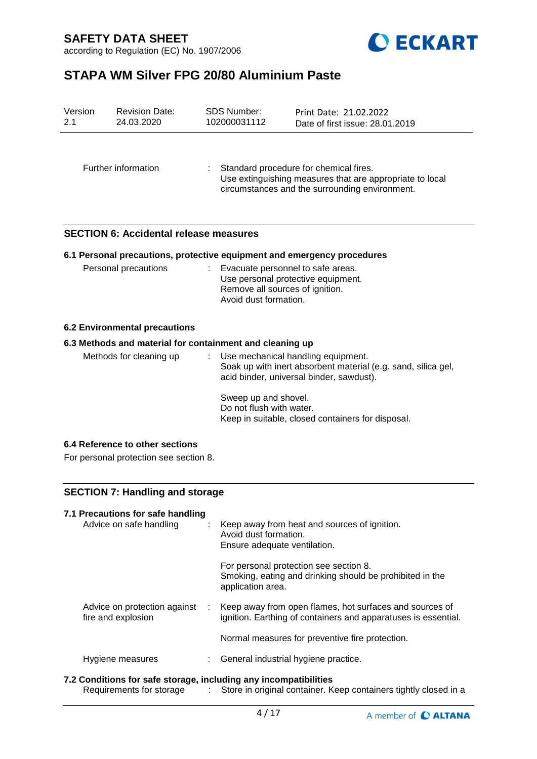

according to Regulation (EC) No. 1907/2006

# **STAPA WM Silver FPG 20/80 Aluminium Paste**

| Version<br>2.1 | <b>Revision Date:</b><br>24.03.2020                                       | SDS Number:<br>102000031112                      | Print Date: 21.02.2022<br>Date of first issue: 28.01.2019                                                                                            |
|----------------|---------------------------------------------------------------------------|--------------------------------------------------|------------------------------------------------------------------------------------------------------------------------------------------------------|
|                | Further information                                                       |                                                  | Standard procedure for chemical fires.<br>Use extinguishing measures that are appropriate to local<br>circumstances and the surrounding environment. |
|                | <b>SECTION 6: Accidental release measures</b>                             |                                                  |                                                                                                                                                      |
|                |                                                                           |                                                  | 6.1 Personal precautions, protective equipment and emergency procedures                                                                              |
|                | Personal precautions                                                      | Avoid dust formation.                            | Evacuate personnel to safe areas.<br>Use personal protective equipment.<br>Remove all sources of ignition.                                           |
|                | <b>6.2 Environmental precautions</b>                                      |                                                  |                                                                                                                                                      |
|                | 6.3 Methods and material for containment and cleaning up                  |                                                  |                                                                                                                                                      |
|                | Methods for cleaning up                                                   |                                                  | Use mechanical handling equipment.<br>Soak up with inert absorbent material (e.g. sand, silica gel,<br>acid binder, universal binder, sawdust).      |
|                |                                                                           | Sweep up and shovel.<br>Do not flush with water. | Keep in suitable, closed containers for disposal.                                                                                                    |
|                | 6.4 Reference to other sections<br>For personal protection see section 8. |                                                  |                                                                                                                                                      |
|                | <b>SECTION 7: Handling and storage</b>                                    |                                                  |                                                                                                                                                      |
|                | 7.1 Precautions for safe handling<br>Advice on safe handling              | Avoid dust formation.                            | Keep away from heat and sources of ignition.<br>Ensure adequate ventilation.                                                                         |
|                |                                                                           |                                                  | For personal protection see section 8.                                                                                                               |

|                              |  | Smoking, eating and drinking should be prohibited in the<br>application area. |
|------------------------------|--|-------------------------------------------------------------------------------|
| Advice on protection against |  | Keep away from open flames, hot surfaces and sources of                       |

|                    | $\frac{1}{2}$ and $\frac{1}{2}$ and $\frac{1}{2}$ and $\frac{1}{2}$ and $\frac{1}{2}$ and $\frac{1}{2}$ and $\frac{1}{2}$ and $\frac{1}{2}$ and $\frac{1}{2}$ and $\frac{1}{2}$ and $\frac{1}{2}$ and $\frac{1}{2}$ |
|--------------------|---------------------------------------------------------------------------------------------------------------------------------------------------------------------------------------------------------------------|
| fire and explosion | ignition. Earthing of containers and apparatuses is essential.                                                                                                                                                      |
|                    |                                                                                                                                                                                                                     |

Normal measures for preventive fire protection.

### Hygiene measures : General industrial hygiene practice.

### **7.2 Conditions for safe storage, including any incompatibilities**

Requirements for storage : Store in original container. Keep containers tightly closed in a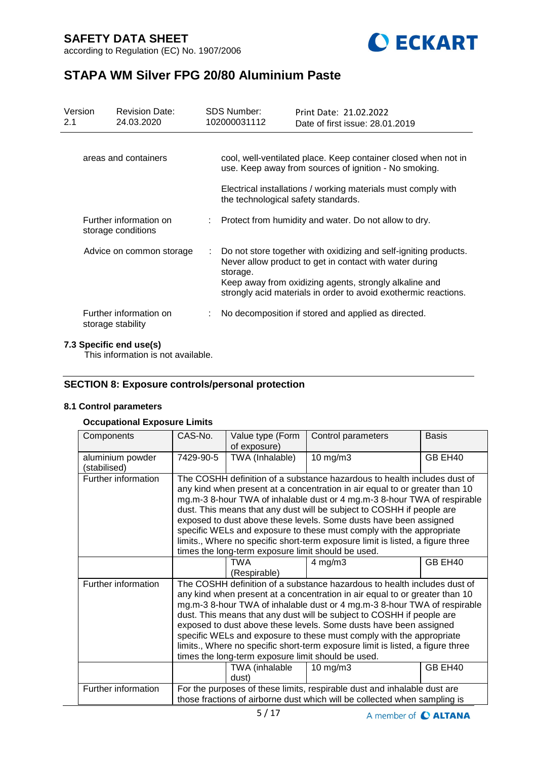



# **STAPA WM Silver FPG 20/80 Aluminium Paste**

| Version<br>2.1 | <b>Revision Date:</b><br>24.03.2020          |   | <b>SDS Number:</b><br>102000031112  | Print Date: 21.02.2022<br>Date of first issue: 28.01.2019                                                                                                                                                                                                |
|----------------|----------------------------------------------|---|-------------------------------------|----------------------------------------------------------------------------------------------------------------------------------------------------------------------------------------------------------------------------------------------------------|
|                | areas and containers                         |   |                                     | cool, well-ventilated place. Keep container closed when not in<br>use. Keep away from sources of ignition - No smoking.<br>Electrical installations / working materials must comply with                                                                 |
|                | Further information on<br>storage conditions |   | the technological safety standards. | : Protect from humidity and water. Do not allow to dry.                                                                                                                                                                                                  |
|                | Advice on common storage                     | ÷ | storage.                            | Do not store together with oxidizing and self-igniting products.<br>Never allow product to get in contact with water during<br>Keep away from oxidizing agents, strongly alkaline and<br>strongly acid materials in order to avoid exothermic reactions. |
|                | Further information on<br>storage stability  |   |                                     | No decomposition if stored and applied as directed.                                                                                                                                                                                                      |

#### **7.3 Specific end use(s)**

This information is not available.

### **SECTION 8: Exposure controls/personal protection**

### **8.1 Control parameters**

#### **Occupational Exposure Limits**

| Components                       | CAS-No.                                                                                                                                                                                                                                                                                                                                                                                                                                                                                                                                                                                           | Value type (Form<br>of exposure) | Control parameters | <b>Basis</b> |
|----------------------------------|---------------------------------------------------------------------------------------------------------------------------------------------------------------------------------------------------------------------------------------------------------------------------------------------------------------------------------------------------------------------------------------------------------------------------------------------------------------------------------------------------------------------------------------------------------------------------------------------------|----------------------------------|--------------------|--------------|
| aluminium powder<br>(stabilised) | 7429-90-5                                                                                                                                                                                                                                                                                                                                                                                                                                                                                                                                                                                         | TWA (Inhalable)                  | $10$ mg/m $3$      | GB EH40      |
| Further information              | The COSHH definition of a substance hazardous to health includes dust of<br>any kind when present at a concentration in air equal to or greater than 10<br>mg.m-3 8-hour TWA of inhalable dust or 4 mg.m-3 8-hour TWA of respirable<br>dust. This means that any dust will be subject to COSHH if people are<br>exposed to dust above these levels. Some dusts have been assigned<br>specific WELs and exposure to these must comply with the appropriate<br>limits., Where no specific short-term exposure limit is listed, a figure three<br>times the long-term exposure limit should be used. |                                  |                    |              |
|                                  |                                                                                                                                                                                                                                                                                                                                                                                                                                                                                                                                                                                                   | TWA<br>(Respirable)              | $4$ mg/m $3$       | GB EH40      |
| Further information              | The COSHH definition of a substance hazardous to health includes dust of<br>any kind when present at a concentration in air equal to or greater than 10<br>mg.m-3 8-hour TWA of inhalable dust or 4 mg.m-3 8-hour TWA of respirable<br>dust. This means that any dust will be subject to COSHH if people are<br>exposed to dust above these levels. Some dusts have been assigned<br>specific WELs and exposure to these must comply with the appropriate<br>limits., Where no specific short-term exposure limit is listed, a figure three<br>times the long-term exposure limit should be used. |                                  |                    |              |
|                                  |                                                                                                                                                                                                                                                                                                                                                                                                                                                                                                                                                                                                   | TWA (inhalable<br>dust)          | $10 \text{ mg/m}$  | GB EH40      |
| Further information              | For the purposes of these limits, respirable dust and inhalable dust are<br>those fractions of airborne dust which will be collected when sampling is                                                                                                                                                                                                                                                                                                                                                                                                                                             |                                  |                    |              |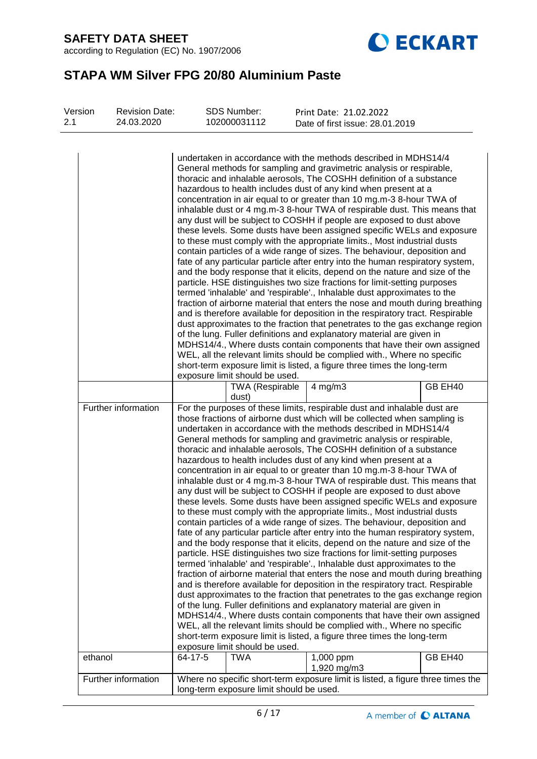according to Regulation (EC) No. 1907/2006



# **STAPA WM Silver FPG 20/80 Aluminium Paste**

| Version<br>2.1 |                     | <b>Revision Date:</b><br>24.03.2020 |         | <b>SDS Number:</b><br>102000031112       | Print Date: 21.02.2022<br>Date of first issue: 28.01.2019                                                                                                                                                                                                                                                                                                                                                                                                                                                                                                                                                                                                                                                                                                                                                                                                                                                                                                                                                                                                                                                                                                                                                                                                                                                                                                                                                                                                                                                                                                                                                                                                                                                                                                                                            |         |
|----------------|---------------------|-------------------------------------|---------|------------------------------------------|------------------------------------------------------------------------------------------------------------------------------------------------------------------------------------------------------------------------------------------------------------------------------------------------------------------------------------------------------------------------------------------------------------------------------------------------------------------------------------------------------------------------------------------------------------------------------------------------------------------------------------------------------------------------------------------------------------------------------------------------------------------------------------------------------------------------------------------------------------------------------------------------------------------------------------------------------------------------------------------------------------------------------------------------------------------------------------------------------------------------------------------------------------------------------------------------------------------------------------------------------------------------------------------------------------------------------------------------------------------------------------------------------------------------------------------------------------------------------------------------------------------------------------------------------------------------------------------------------------------------------------------------------------------------------------------------------------------------------------------------------------------------------------------------------|---------|
|                |                     |                                     |         |                                          | undertaken in accordance with the methods described in MDHS14/4<br>General methods for sampling and gravimetric analysis or respirable,<br>thoracic and inhalable aerosols, The COSHH definition of a substance<br>hazardous to health includes dust of any kind when present at a<br>concentration in air equal to or greater than 10 mg.m-3 8-hour TWA of<br>inhalable dust or 4 mg.m-3 8-hour TWA of respirable dust. This means that<br>any dust will be subject to COSHH if people are exposed to dust above<br>these levels. Some dusts have been assigned specific WELs and exposure<br>to these must comply with the appropriate limits., Most industrial dusts<br>contain particles of a wide range of sizes. The behaviour, deposition and<br>fate of any particular particle after entry into the human respiratory system,<br>and the body response that it elicits, depend on the nature and size of the<br>particle. HSE distinguishes two size fractions for limit-setting purposes<br>termed 'inhalable' and 'respirable'., Inhalable dust approximates to the<br>fraction of airborne material that enters the nose and mouth during breathing<br>and is therefore available for deposition in the respiratory tract. Respirable<br>dust approximates to the fraction that penetrates to the gas exchange region<br>of the lung. Fuller definitions and explanatory material are given in<br>MDHS14/4., Where dusts contain components that have their own assigned<br>WEL, all the relevant limits should be complied with., Where no specific                                                                                                                                                                                                                                     |         |
|                |                     |                                     |         | exposure limit should be used.           | short-term exposure limit is listed, a figure three times the long-term                                                                                                                                                                                                                                                                                                                                                                                                                                                                                                                                                                                                                                                                                                                                                                                                                                                                                                                                                                                                                                                                                                                                                                                                                                                                                                                                                                                                                                                                                                                                                                                                                                                                                                                              |         |
|                |                     |                                     |         | <b>TWA (Respirable</b><br>dust)          | $4$ mg/m $3$                                                                                                                                                                                                                                                                                                                                                                                                                                                                                                                                                                                                                                                                                                                                                                                                                                                                                                                                                                                                                                                                                                                                                                                                                                                                                                                                                                                                                                                                                                                                                                                                                                                                                                                                                                                         | GB EH40 |
|                | Further information |                                     |         | exposure limit should be used.           | For the purposes of these limits, respirable dust and inhalable dust are<br>those fractions of airborne dust which will be collected when sampling is<br>undertaken in accordance with the methods described in MDHS14/4<br>General methods for sampling and gravimetric analysis or respirable,<br>thoracic and inhalable aerosols, The COSHH definition of a substance<br>hazardous to health includes dust of any kind when present at a<br>concentration in air equal to or greater than 10 mg.m-3 8-hour TWA of<br>inhalable dust or 4 mg.m-3 8-hour TWA of respirable dust. This means that<br>any dust will be subject to COSHH if people are exposed to dust above<br>these levels. Some dusts have been assigned specific WELs and exposure<br>to these must comply with the appropriate limits., Most industrial dusts<br>contain particles of a wide range of sizes. The behaviour, deposition and<br>fate of any particular particle after entry into the human respiratory system,<br>and the body response that it elicits, depend on the nature and size of the<br>particle. HSE distinguishes two size fractions for limit-setting purposes<br>termed 'inhalable' and 'respirable'., Inhalable dust approximates to the<br>fraction of airborne material that enters the nose and mouth during breathing<br>and is therefore available for deposition in the respiratory tract. Respirable<br>dust approximates to the fraction that penetrates to the gas exchange region<br>of the lung. Fuller definitions and explanatory material are given in<br>MDHS14/4., Where dusts contain components that have their own assigned<br>WEL, all the relevant limits should be complied with., Where no specific<br>short-term exposure limit is listed, a figure three times the long-term |         |
|                | ethanol             |                                     | 64-17-5 | <b>TWA</b>                               | $1,000$ ppm<br>1,920 mg/m3                                                                                                                                                                                                                                                                                                                                                                                                                                                                                                                                                                                                                                                                                                                                                                                                                                                                                                                                                                                                                                                                                                                                                                                                                                                                                                                                                                                                                                                                                                                                                                                                                                                                                                                                                                           | GB EH40 |
|                | Further information |                                     |         | long-term exposure limit should be used. | Where no specific short-term exposure limit is listed, a figure three times the                                                                                                                                                                                                                                                                                                                                                                                                                                                                                                                                                                                                                                                                                                                                                                                                                                                                                                                                                                                                                                                                                                                                                                                                                                                                                                                                                                                                                                                                                                                                                                                                                                                                                                                      |         |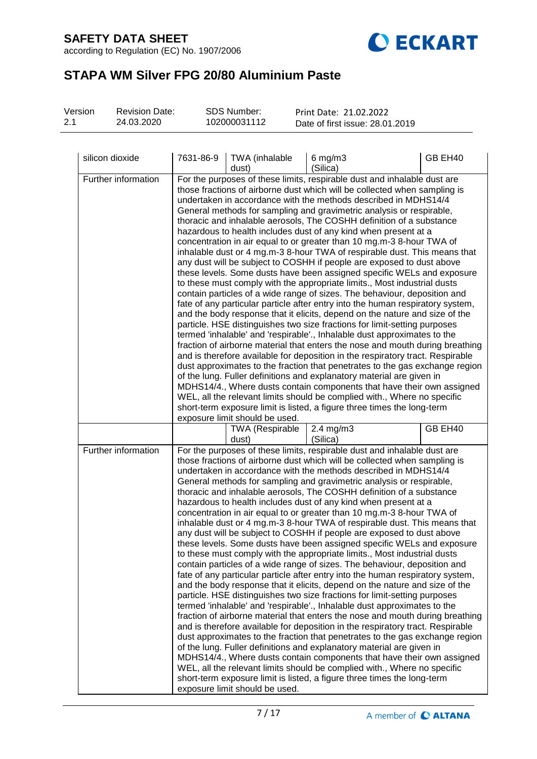according to Regulation (EC) No. 1907/2006



# **STAPA WM Silver FPG 20/80 Aluminium Paste**

| Version | <b>Revision Date:</b> | SDS Number:  | Print Date: 21.02.2022          |
|---------|-----------------------|--------------|---------------------------------|
| 2.1     | 24.03.2020            | 102000031112 | Date of first issue: 28.01.2019 |
|         |                       |              |                                 |

| silicon dioxide     | 7631-86-9 | <b>TWA</b> (inhalable<br>dust)  | $6$ mg/m $3$<br>(Silica)                                                                                                                                                                                                                                                                                                                                                                                                                                                                                                                                                                                                                                                                                                                                                                                                                                                                                                                                                                                                                                                                                                                                                                                                                                                                                                                                                                                                                                                                                                                                                                                                                                                                                                                                                                             | GB EH40 |
|---------------------|-----------|---------------------------------|------------------------------------------------------------------------------------------------------------------------------------------------------------------------------------------------------------------------------------------------------------------------------------------------------------------------------------------------------------------------------------------------------------------------------------------------------------------------------------------------------------------------------------------------------------------------------------------------------------------------------------------------------------------------------------------------------------------------------------------------------------------------------------------------------------------------------------------------------------------------------------------------------------------------------------------------------------------------------------------------------------------------------------------------------------------------------------------------------------------------------------------------------------------------------------------------------------------------------------------------------------------------------------------------------------------------------------------------------------------------------------------------------------------------------------------------------------------------------------------------------------------------------------------------------------------------------------------------------------------------------------------------------------------------------------------------------------------------------------------------------------------------------------------------------|---------|
| Further information |           | exposure limit should be used.  | For the purposes of these limits, respirable dust and inhalable dust are<br>those fractions of airborne dust which will be collected when sampling is<br>undertaken in accordance with the methods described in MDHS14/4<br>General methods for sampling and gravimetric analysis or respirable,<br>thoracic and inhalable aerosols, The COSHH definition of a substance<br>hazardous to health includes dust of any kind when present at a<br>concentration in air equal to or greater than 10 mg.m-3 8-hour TWA of<br>inhalable dust or 4 mg.m-3 8-hour TWA of respirable dust. This means that<br>any dust will be subject to COSHH if people are exposed to dust above<br>these levels. Some dusts have been assigned specific WELs and exposure<br>to these must comply with the appropriate limits., Most industrial dusts<br>contain particles of a wide range of sizes. The behaviour, deposition and<br>fate of any particular particle after entry into the human respiratory system,<br>and the body response that it elicits, depend on the nature and size of the<br>particle. HSE distinguishes two size fractions for limit-setting purposes<br>termed 'inhalable' and 'respirable'., Inhalable dust approximates to the<br>fraction of airborne material that enters the nose and mouth during breathing<br>and is therefore available for deposition in the respiratory tract. Respirable<br>dust approximates to the fraction that penetrates to the gas exchange region<br>of the lung. Fuller definitions and explanatory material are given in<br>MDHS14/4., Where dusts contain components that have their own assigned<br>WEL, all the relevant limits should be complied with., Where no specific<br>short-term exposure limit is listed, a figure three times the long-term |         |
|                     |           | <b>TWA (Respirable</b><br>dust) | 2.4 mg/m3<br>(Silica)                                                                                                                                                                                                                                                                                                                                                                                                                                                                                                                                                                                                                                                                                                                                                                                                                                                                                                                                                                                                                                                                                                                                                                                                                                                                                                                                                                                                                                                                                                                                                                                                                                                                                                                                                                                | GB EH40 |
| Further information |           | exposure limit should be used.  | For the purposes of these limits, respirable dust and inhalable dust are<br>those fractions of airborne dust which will be collected when sampling is<br>undertaken in accordance with the methods described in MDHS14/4<br>General methods for sampling and gravimetric analysis or respirable,<br>thoracic and inhalable aerosols, The COSHH definition of a substance<br>hazardous to health includes dust of any kind when present at a<br>concentration in air equal to or greater than 10 mg.m-3 8-hour TWA of<br>inhalable dust or 4 mg.m-3 8-hour TWA of respirable dust. This means that<br>any dust will be subject to COSHH if people are exposed to dust above<br>these levels. Some dusts have been assigned specific WELs and exposure<br>to these must comply with the appropriate limits., Most industrial dusts<br>contain particles of a wide range of sizes. The behaviour, deposition and<br>fate of any particular particle after entry into the human respiratory system,<br>and the body response that it elicits, depend on the nature and size of the<br>particle. HSE distinguishes two size fractions for limit-setting purposes<br>termed 'inhalable' and 'respirable'., Inhalable dust approximates to the<br>fraction of airborne material that enters the nose and mouth during breathing<br>and is therefore available for deposition in the respiratory tract. Respirable<br>dust approximates to the fraction that penetrates to the gas exchange region<br>of the lung. Fuller definitions and explanatory material are given in<br>MDHS14/4., Where dusts contain components that have their own assigned<br>WEL, all the relevant limits should be complied with., Where no specific<br>short-term exposure limit is listed, a figure three times the long-term |         |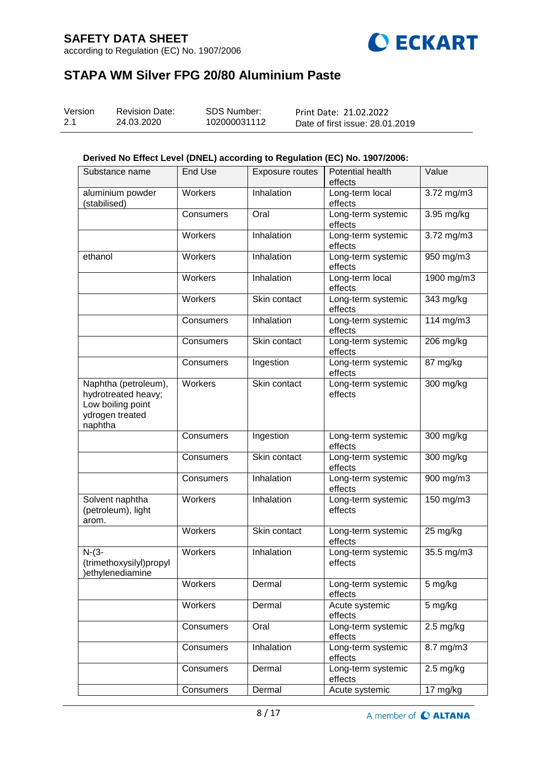according to Regulation (EC) No. 1907/2006



# **STAPA WM Silver FPG 20/80 Aluminium Paste**

| Version | <b>Revision Date:</b> | SDS Number:  | Print Date: 21.02.2022          |
|---------|-----------------------|--------------|---------------------------------|
| 2.1     | 24.03.2020            | 102000031112 | Date of first issue: 28.01.2019 |

### **Derived No Effect Level (DNEL) according to Regulation (EC) No. 1907/2006:**

| Substance name                                                                                 | <b>End Use</b> | Exposure routes | Potential health<br>effects   | Value                  |
|------------------------------------------------------------------------------------------------|----------------|-----------------|-------------------------------|------------------------|
| aluminium powder<br>(stabilised)                                                               | Workers        | Inhalation      | Long-term local<br>effects    | 3.72 mg/m3             |
|                                                                                                | Consumers      | Oral            | Long-term systemic<br>effects | 3.95 mg/kg             |
|                                                                                                | Workers        | Inhalation      | Long-term systemic<br>effects | 3.72 mg/m3             |
| ethanol                                                                                        | <b>Workers</b> | Inhalation      | Long-term systemic<br>effects | 950 mg/m3              |
|                                                                                                | Workers        | Inhalation      | Long-term local<br>effects    | $1900$ mg/m3           |
|                                                                                                | Workers        | Skin contact    | Long-term systemic<br>effects | 343 mg/kg              |
|                                                                                                | Consumers      | Inhalation      | Long-term systemic<br>effects | 114 mg/m3              |
|                                                                                                | Consumers      | Skin contact    | Long-term systemic<br>effects | 206 mg/kg              |
|                                                                                                | Consumers      | Ingestion       | Long-term systemic<br>effects | 87 mg/kg               |
| Naphtha (petroleum),<br>hydrotreated heavy;<br>Low boiling point<br>ydrogen treated<br>naphtha | Workers        | Skin contact    | Long-term systemic<br>effects | $\overline{300}$ mg/kg |
|                                                                                                | Consumers      | Ingestion       | Long-term systemic<br>effects | 300 mg/kg              |
|                                                                                                | Consumers      | Skin contact    | Long-term systemic<br>effects | 300 mg/kg              |
|                                                                                                | Consumers      | Inhalation      | Long-term systemic<br>effects | 900 mg/m3              |
| Solvent naphtha<br>(petroleum), light<br>arom.                                                 | Workers        | Inhalation      | Long-term systemic<br>effects | 150 mg/m3              |
|                                                                                                | Workers        | Skin contact    | Long-term systemic<br>effects | 25 mg/kg               |
| $N-(3-$<br>(trimethoxysilyl)propyl<br>ethylenediamine                                          | Workers        | Inhalation      | Long-term systemic<br>effects | 35.5 mg/m3             |
|                                                                                                | Workers        | Dermal          | Long-term systemic<br>effects | 5 mg/kg                |
|                                                                                                | Workers        | Dermal          | Acute systemic<br>effects     | 5 mg/kg                |
|                                                                                                | Consumers      | Oral            | Long-term systemic<br>effects | $2.5 \text{ mg/kg}$    |
|                                                                                                | Consumers      | Inhalation      | Long-term systemic<br>effects | $\overline{8.7}$ mg/m3 |
|                                                                                                | Consumers      | Dermal          | Long-term systemic<br>effects | $2.5 \text{ mg/kg}$    |
|                                                                                                | Consumers      | Dermal          | Acute systemic                | 17 mg/kg               |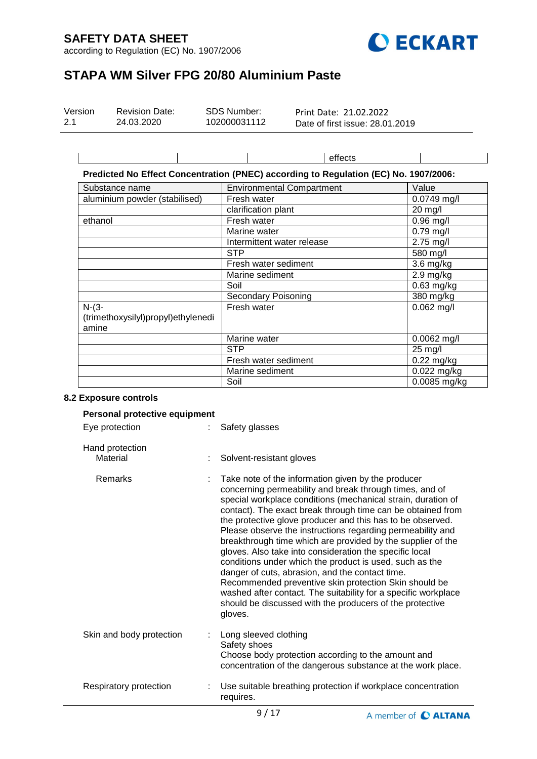$\overline{1}$ 

according to Regulation (EC) No. 1907/2006



# **STAPA WM Silver FPG 20/80 Aluminium Paste**

| Version | <b>Revision Date:</b> | SDS Number:  | Print Date: 21.02.2022          |
|---------|-----------------------|--------------|---------------------------------|
| 2.1     | 24.03.2020            | 102000031112 | Date of first issue: 28.01.2019 |

|  | effects                                                                              |  |
|--|--------------------------------------------------------------------------------------|--|
|  | Predicted No Effect Concentration (PNEC) according to Regulation (EC) No. 1907/2006: |  |

| Substance name                     | <b>Environmental Compartment</b> | Value         |
|------------------------------------|----------------------------------|---------------|
| aluminium powder (stabilised)      | Fresh water                      | $0.0749$ mg/l |
|                                    | clarification plant              | 20 mg/l       |
| ethanol                            | Fresh water                      | $0.96$ mg/l   |
|                                    | Marine water                     | $0.79$ mg/l   |
|                                    | Intermittent water release       | 2.75 mg/l     |
|                                    | <b>STP</b>                       | 580 mg/l      |
|                                    | Fresh water sediment             | 3.6 mg/kg     |
|                                    | Marine sediment                  | 2.9 mg/kg     |
|                                    | Soil                             | 0.63 mg/kg    |
|                                    | <b>Secondary Poisoning</b>       | 380 mg/kg     |
| $N-(3-$                            | Fresh water                      | $0.062$ mg/l  |
| (trimethoxysilyl)propyl)ethylenedi |                                  |               |
| amine                              |                                  |               |
|                                    | Marine water                     | $0.0062$ mg/l |
|                                    | <b>STP</b>                       | 25 mg/l       |
|                                    | Fresh water sediment             | 0.22 mg/kg    |
|                                    | Marine sediment                  | $0.022$ mg/kg |
|                                    | Soil                             | 0.0085 mg/kg  |

#### **8.2 Exposure controls**

| Personal protective equipment |                                                                                                                                                                                                                                                                                                                                                                                                                                                                                                                                                                                                                                                                                                                                                                                                                    |
|-------------------------------|--------------------------------------------------------------------------------------------------------------------------------------------------------------------------------------------------------------------------------------------------------------------------------------------------------------------------------------------------------------------------------------------------------------------------------------------------------------------------------------------------------------------------------------------------------------------------------------------------------------------------------------------------------------------------------------------------------------------------------------------------------------------------------------------------------------------|
| Eye protection                | Safety glasses                                                                                                                                                                                                                                                                                                                                                                                                                                                                                                                                                                                                                                                                                                                                                                                                     |
| Hand protection<br>Material   | Solvent-resistant gloves                                                                                                                                                                                                                                                                                                                                                                                                                                                                                                                                                                                                                                                                                                                                                                                           |
| Remarks                       | Take note of the information given by the producer<br>concerning permeability and break through times, and of<br>special workplace conditions (mechanical strain, duration of<br>contact). The exact break through time can be obtained from<br>the protective glove producer and this has to be observed.<br>Please observe the instructions regarding permeability and<br>breakthrough time which are provided by the supplier of the<br>gloves. Also take into consideration the specific local<br>conditions under which the product is used, such as the<br>danger of cuts, abrasion, and the contact time.<br>Recommended preventive skin protection Skin should be<br>washed after contact. The suitability for a specific workplace<br>should be discussed with the producers of the protective<br>gloves. |
| Skin and body protection      | Long sleeved clothing<br>Safety shoes<br>Choose body protection according to the amount and<br>concentration of the dangerous substance at the work place.                                                                                                                                                                                                                                                                                                                                                                                                                                                                                                                                                                                                                                                         |
| Respiratory protection        | Use suitable breathing protection if workplace concentration<br>requires.                                                                                                                                                                                                                                                                                                                                                                                                                                                                                                                                                                                                                                                                                                                                          |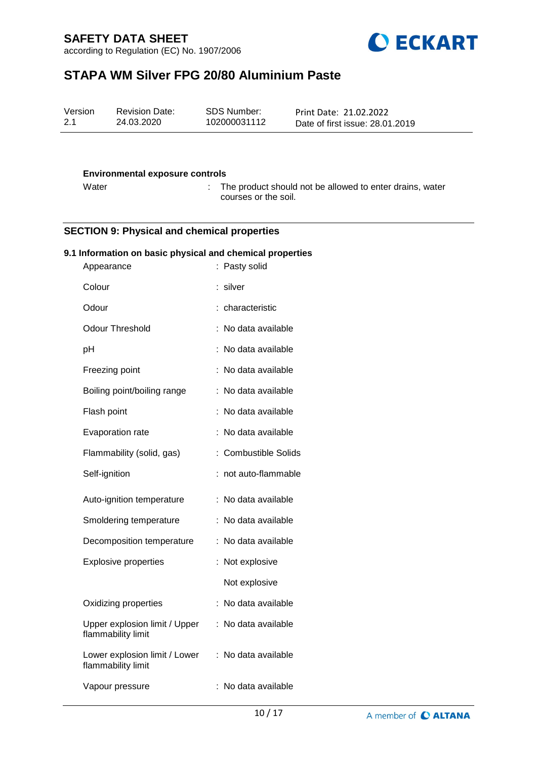according to Regulation (EC) No. 1907/2006



# **STAPA WM Silver FPG 20/80 Aluminium Paste**

| SDS Number:<br>Version<br><b>Revision Date:</b><br>Print Date: 21.02.2022<br>2.1<br>102000031112<br>24.03.2020<br>Date of first issue: 28.01.2019 |  |
|---------------------------------------------------------------------------------------------------------------------------------------------------|--|
|---------------------------------------------------------------------------------------------------------------------------------------------------|--|

#### **Environmental exposure controls**

Water : The product should not be allowed to enter drains, water courses or the soil.

#### **SECTION 9: Physical and chemical properties**

### **9.1 Information on basic physical and chemical properties**

| Appearance                                          | t.<br>Pasty solid         |
|-----------------------------------------------------|---------------------------|
| Colour                                              | silver                    |
| Odour                                               | characteristic            |
| <b>Odour Threshold</b>                              | No data available         |
| рH                                                  | No data available         |
| Freezing point                                      | No data available         |
| Boiling point/boiling range                         | No data available         |
| Flash point                                         | No data available         |
| Evaporation rate                                    | No data available         |
| Flammability (solid, gas)                           | <b>Combustible Solids</b> |
| Self-ignition                                       | not auto-flammable        |
| Auto-ignition temperature                           | No data available<br>t    |
| Smoldering temperature                              | No data available         |
| Decomposition temperature                           | No data available         |
| <b>Explosive properties</b>                         | Not explosive             |
|                                                     | Not explosive             |
| Oxidizing properties                                | No data available         |
| Upper explosion limit / Upper<br>flammability limit | No data available         |
| Lower explosion limit / Lower<br>flammability limit | No data available         |
| Vapour pressure                                     | No data available         |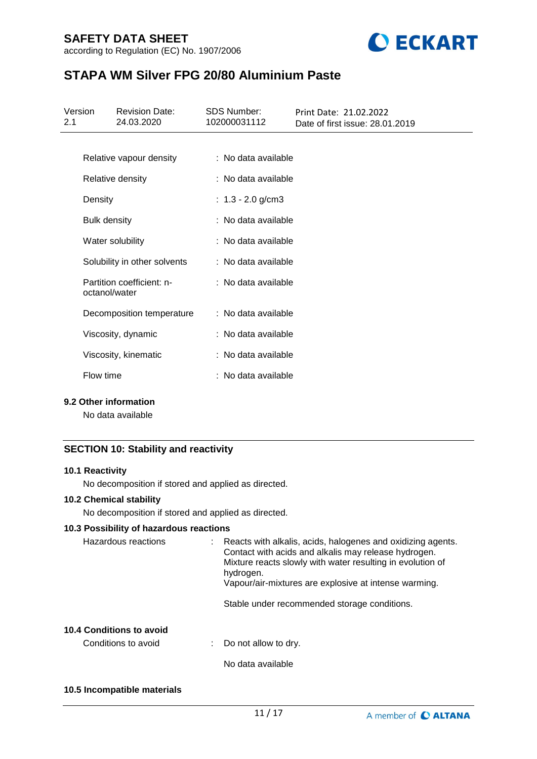



# **STAPA WM Silver FPG 20/80 Aluminium Paste**

| Version<br>2.1 |                     | <b>Revision Date:</b><br>24.03.2020 | <b>SDS Number:</b><br>102000031112 | Print Date: 21.02.2022<br>Date of first issue: 28.01.2019 |
|----------------|---------------------|-------------------------------------|------------------------------------|-----------------------------------------------------------|
|                |                     |                                     |                                    |                                                           |
|                |                     | Relative vapour density             | : No data available                |                                                           |
|                |                     | Relative density                    | : No data available                |                                                           |
|                | Density             |                                     | : $1.3 - 2.0$ g/cm3                |                                                           |
|                | <b>Bulk density</b> |                                     | : No data available                |                                                           |
|                |                     | Water solubility                    | : No data available                |                                                           |
|                |                     | Solubility in other solvents        | : No data available                |                                                           |
|                | octanol/water       | Partition coefficient: n-           | : No data available                |                                                           |
|                |                     | Decomposition temperature           | : No data available                |                                                           |
|                |                     | Viscosity, dynamic                  | : No data available                |                                                           |
|                |                     | Viscosity, kinematic                | : No data available                |                                                           |
|                | Flow time           |                                     | : No data available                |                                                           |

#### **9.2 Other information**

No data available

### **SECTION 10: Stability and reactivity**

#### **10.1 Reactivity**

No decomposition if stored and applied as directed.

### **10.2 Chemical stability**

No decomposition if stored and applied as directed.

#### **10.3 Possibility of hazardous reactions**

| Hazardous reactions      | Reacts with alkalis, acids, halogenes and oxidizing agents.<br>Contact with acids and alkalis may release hydrogen.<br>Mixture reacts slowly with water resulting in evolution of<br>hydrogen.<br>Vapour/air-mixtures are explosive at intense warming. |
|--------------------------|---------------------------------------------------------------------------------------------------------------------------------------------------------------------------------------------------------------------------------------------------------|
|                          | Stable under recommended storage conditions.                                                                                                                                                                                                            |
| 10.4 Conditions to avoid |                                                                                                                                                                                                                                                         |

Conditions to avoid : Do not allow to dry.

No data available

#### **10.5 Incompatible materials**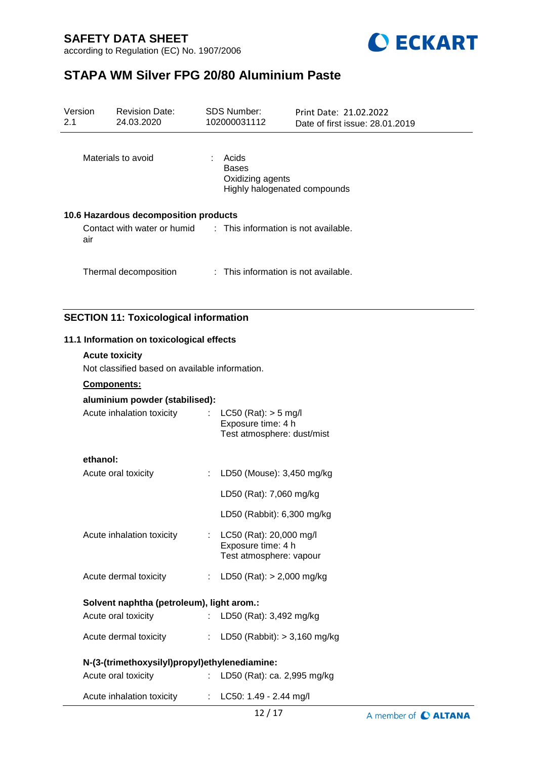



# **STAPA WM Silver FPG 20/80 Aluminium Paste**

| Version<br>2.1                                                          | <b>Revision Date:</b><br>24.03.2020            | <b>SDS Number:</b><br>102000031112                          | Print Date: 21.02.2022<br>Date of first issue: 28.01.2019 |  |
|-------------------------------------------------------------------------|------------------------------------------------|-------------------------------------------------------------|-----------------------------------------------------------|--|
|                                                                         | Materials to avoid                             | Acids<br>$\mathbb{R}^n$<br><b>Bases</b><br>Oxidizing agents | Highly halogenated compounds                              |  |
|                                                                         | 10.6 Hazardous decomposition products          |                                                             |                                                           |  |
| Contact with water or humid : This information is not available.<br>air |                                                |                                                             |                                                           |  |
|                                                                         | Thermal decomposition                          | : This information is not available.                        |                                                           |  |
|                                                                         | <b>SECTION 11: Toxicological information</b>   |                                                             |                                                           |  |
|                                                                         | 11.1 Information on toxicological effects      |                                                             |                                                           |  |
|                                                                         | <b>Acute toxicity</b>                          |                                                             |                                                           |  |
|                                                                         | Not classified based on available information. |                                                             |                                                           |  |

#### **Components:**

|  |  | aluminium powder (stabilised): |
|--|--|--------------------------------|
|--|--|--------------------------------|

| Acute inhalation toxicity | : $LC50$ (Rat): $> 5$ mg/l<br>Exposure time: 4 h |
|---------------------------|--------------------------------------------------|
|                           | Test atmosphere: dust/mist                       |

## **ethanol:**

|                                           | N-(3-(trimethoxysilyl)propyl)ethylenediamine: |                                                                            |  |  |  |
|-------------------------------------------|-----------------------------------------------|----------------------------------------------------------------------------|--|--|--|
| Acute dermal toxicity                     | t in                                          | LD50 (Rabbit): $> 3,160$ mg/kg                                             |  |  |  |
| Acute oral toxicity                       |                                               | : LD50 (Rat): $3,492$ mg/kg                                                |  |  |  |
| Solvent naphtha (petroleum), light arom.: |                                               |                                                                            |  |  |  |
| Acute dermal toxicity                     |                                               | : LD50 (Rat): $> 2,000$ mg/kg                                              |  |  |  |
| Acute inhalation toxicity                 |                                               | : LC50 (Rat): 20,000 mg/l<br>Exposure time: 4 h<br>Test atmosphere: vapour |  |  |  |
|                                           |                                               | LD50 (Rabbit): 6,300 mg/kg                                                 |  |  |  |
|                                           |                                               | LD50 (Rat): 7,060 mg/kg                                                    |  |  |  |
| Acute oral toxicity                       |                                               | : LD50 (Mouse): 3,450 mg/kg                                                |  |  |  |

| Acute oral toxicity | LD50 (Rat): ca. 2,995 mg/kg |
|---------------------|-----------------------------|
|---------------------|-----------------------------|

Acute inhalation toxicity : LC50: 1.49 - 2.44 mg/l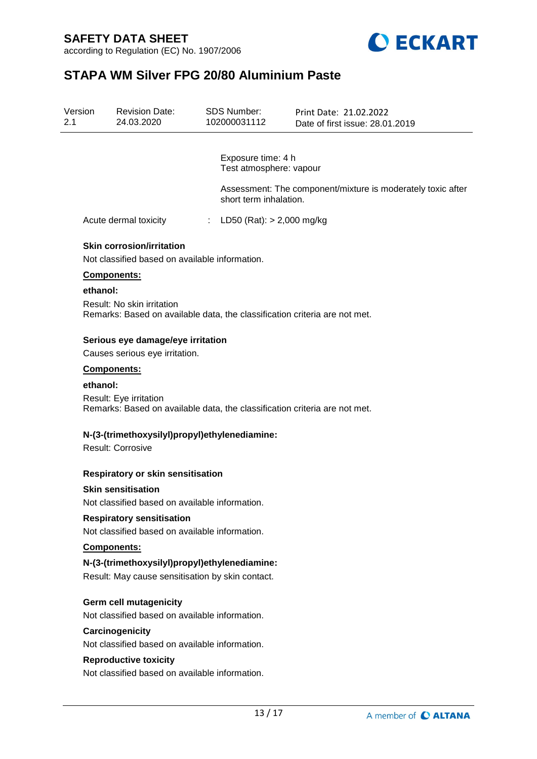



# **STAPA WM Silver FPG 20/80 Aluminium Paste**

| Version<br>2.1 |          | <b>Revision Date:</b><br>24.03.2020                                                                      | <b>SDS Number:</b><br>102000031112            | Print Date: 21.02.2022<br>Date of first issue: 28.01.2019   |
|----------------|----------|----------------------------------------------------------------------------------------------------------|-----------------------------------------------|-------------------------------------------------------------|
|                |          |                                                                                                          |                                               |                                                             |
|                |          |                                                                                                          | Exposure time: 4 h<br>Test atmosphere: vapour |                                                             |
|                |          |                                                                                                          | short term inhalation.                        | Assessment: The component/mixture is moderately toxic after |
|                |          | Acute dermal toxicity                                                                                    | : LD50 (Rat): $> 2,000$ mg/kg                 |                                                             |
|                |          | <b>Skin corrosion/irritation</b><br>Not classified based on available information.                       |                                               |                                                             |
|                |          | Components:                                                                                              |                                               |                                                             |
|                | ethanol: |                                                                                                          |                                               |                                                             |
|                |          | Result: No skin irritation<br>Remarks: Based on available data, the classification criteria are not met. |                                               |                                                             |
|                |          | Serious eye damage/eye irritation                                                                        |                                               |                                                             |
|                |          | Causes serious eye irritation.                                                                           |                                               |                                                             |
|                |          | Components:                                                                                              |                                               |                                                             |
|                | ethanol: | Result: Eye irritation<br>Remarks: Based on available data, the classification criteria are not met.     |                                               |                                                             |
|                |          | N-(3-(trimethoxysilyl)propyl)ethylenediamine:<br><b>Result: Corrosive</b>                                |                                               |                                                             |
|                |          | <b>Respiratory or skin sensitisation</b>                                                                 |                                               |                                                             |
|                |          | <b>Skin sensitisation</b>                                                                                |                                               |                                                             |
|                |          | Not classified based on available information.                                                           |                                               |                                                             |
|                |          | <b>Respiratory sensitisation</b>                                                                         |                                               |                                                             |
|                |          | Not classified based on available information.                                                           |                                               |                                                             |
|                |          | Components:                                                                                              |                                               |                                                             |
|                |          | N-(3-(trimethoxysilyl)propyl)ethylenediamine:<br>Result: May cause sensitisation by skin contact.        |                                               |                                                             |
|                |          | <b>Germ cell mutagenicity</b><br>Not classified based on available information.                          |                                               |                                                             |
|                |          | Carcinogenicity                                                                                          |                                               |                                                             |
|                |          | Not classified based on available information.                                                           |                                               |                                                             |
|                |          | <b>Reproductive toxicity</b>                                                                             |                                               |                                                             |
|                |          | Not classified based on available information.                                                           |                                               |                                                             |
|                |          |                                                                                                          |                                               |                                                             |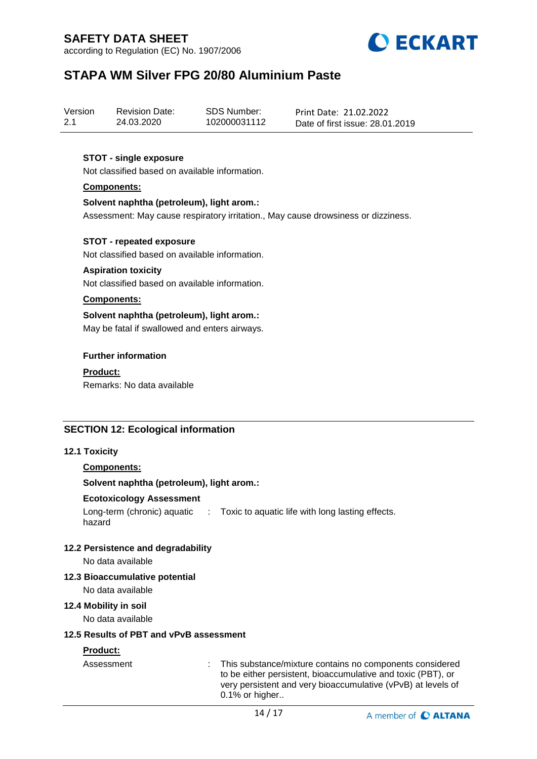according to Regulation (EC) No. 1907/2006



# **STAPA WM Silver FPG 20/80 Aluminium Paste**

| Version | <b>Revision Date:</b> | SDS Number:  | Print Date: 21.02.2022          |
|---------|-----------------------|--------------|---------------------------------|
| 2.1     | 24.03.2020            | 102000031112 | Date of first issue: 28.01.2019 |

### **STOT - single exposure**

Not classified based on available information.

#### **Components:**

#### **Solvent naphtha (petroleum), light arom.:**

Assessment: May cause respiratory irritation., May cause drowsiness or dizziness.

#### **STOT - repeated exposure**

Not classified based on available information.

#### **Aspiration toxicity**

Not classified based on available information.

#### **Components:**

**Solvent naphtha (petroleum), light arom.:** May be fatal if swallowed and enters airways.

#### **Further information**

**Product:** Remarks: No data available

### **SECTION 12: Ecological information**

#### **12.1 Toxicity**

#### **Components:**

#### **Solvent naphtha (petroleum), light arom.:**

#### **Ecotoxicology Assessment**

Long-term (chronic) aquatic : Toxic to aquatic life with long lasting effects. hazard

#### **12.2 Persistence and degradability**

No data available

### **12.3 Bioaccumulative potential**

No data available

#### **12.4 Mobility in soil**

No data available

#### **12.5 Results of PBT and vPvB assessment**

## **Product:**

Assessment : This substance/mixture contains no components considered to be either persistent, bioaccumulative and toxic (PBT), or very persistent and very bioaccumulative (vPvB) at levels of 0.1% or higher..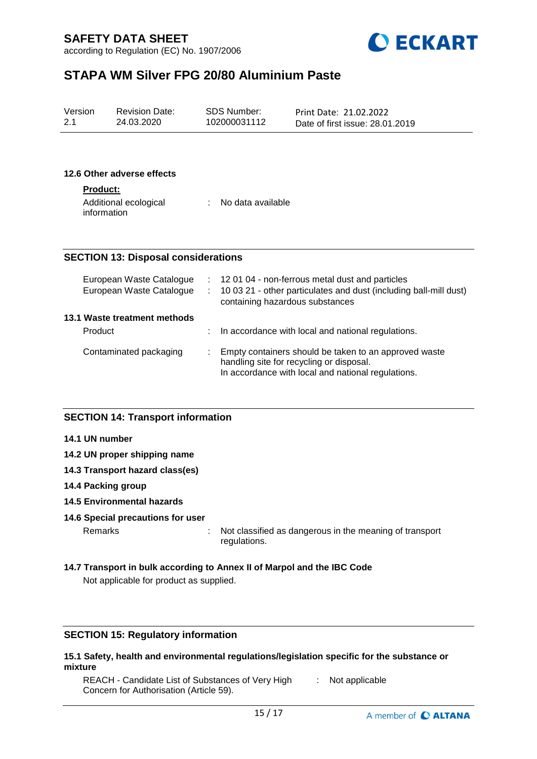according to Regulation (EC) No. 1907/2006



# **STAPA WM Silver FPG 20/80 Aluminium Paste**

| Version | <b>Revision Date:</b> | SDS Number:  | Print Date: 21.02.2022          |  |
|---------|-----------------------|--------------|---------------------------------|--|
| 2.1     | 24.03.2020            | 102000031112 | Date of first issue: 28.01.2019 |  |

#### **12.6 Other adverse effects**

#### **Product:**

| Additional ecological | No data available |
|-----------------------|-------------------|
| information           |                   |

### **SECTION 13: Disposal considerations**

| European Waste Catalogue<br>European Waste Catalogue | ÷. | : 12 01 04 - non-ferrous metal dust and particles<br>10 03 21 - other particulates and dust (including ball-mill dust)<br>containing hazardous substances |
|------------------------------------------------------|----|-----------------------------------------------------------------------------------------------------------------------------------------------------------|
| 13.1 Waste treatment methods                         |    |                                                                                                                                                           |
| Product                                              |    | In accordance with local and national regulations.                                                                                                        |
| Contaminated packaging                               |    | Empty containers should be taken to an approved waste<br>handling site for recycling or disposal.<br>In accordance with local and national regulations.   |

### **SECTION 14: Transport information**

- **14.1 UN number**
- **14.2 UN proper shipping name**
- **14.3 Transport hazard class(es)**
- **14.4 Packing group**
- **14.5 Environmental hazards**

#### **14.6 Special precautions for user**

Remarks : Not classified as dangerous in the meaning of transport regulations.

#### **14.7 Transport in bulk according to Annex II of Marpol and the IBC Code**

Not applicable for product as supplied.

### **SECTION 15: Regulatory information**

#### **15.1 Safety, health and environmental regulations/legislation specific for the substance or mixture**

REACH - Candidate List of Substances of Very High Concern for Authorisation (Article 59). : Not applicable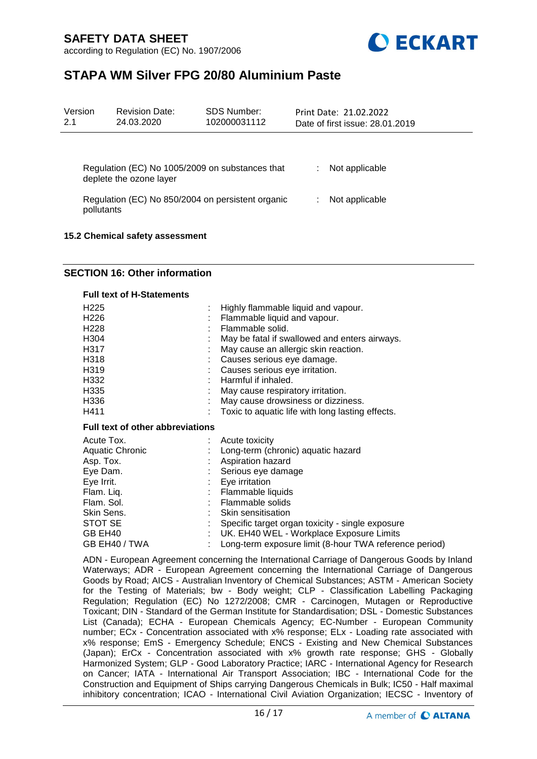



# **STAPA WM Silver FPG 20/80 Aluminium Paste**

| Version<br>2.1                                                             | <b>Revision Date:</b><br>24.03.2020            | <b>SDS Number:</b><br>102000031112 | Print Date: 21.02.2022<br>Date of first issue: 28.01.2019 |  |
|----------------------------------------------------------------------------|------------------------------------------------|------------------------------------|-----------------------------------------------------------|--|
|                                                                            |                                                |                                    |                                                           |  |
| Regulation (EC) No 1005/2009 on substances that<br>deplete the ozone layer |                                                |                                    | Not applicable                                            |  |
| Regulation (EC) No 850/2004 on persistent organic<br>pollutants            |                                                |                                    | Not applicable                                            |  |
|                                                                            | $\overline{AB}$ $\overline{AB}$ $\overline{C}$ |                                    |                                                           |  |

#### **15.2 Chemical safety assessment**

### **SECTION 16: Other information**

#### **Full text of H-Statements**

| H <sub>225</sub> | : Highly flammable liquid and vapour.            |
|------------------|--------------------------------------------------|
| H <sub>226</sub> | : Flammable liquid and vapour.                   |
| H <sub>228</sub> | Flammable solid.                                 |
| H304             | May be fatal if swallowed and enters airways.    |
| H317             | May cause an allergic skin reaction.             |
| H318             | : Causes serious eye damage.                     |
| H319             | : Causes serious eye irritation.                 |
| H332             | : Harmful if inhaled.                            |
| H335             | May cause respiratory irritation.                |
| H336             | May cause drowsiness or dizziness.               |
| H411             | Toxic to aquatic life with long lasting effects. |

#### **Full text of other abbreviations**

| Acute Tox.             | Acute toxicity                                         |
|------------------------|--------------------------------------------------------|
| <b>Aquatic Chronic</b> | Long-term (chronic) aquatic hazard                     |
| Asp. Tox.              | Aspiration hazard                                      |
| Eye Dam.               | Serious eye damage                                     |
| Eye Irrit.             | Eye irritation                                         |
| Flam. Liq.             | Flammable liquids                                      |
| Flam. Sol.             | Flammable solids                                       |
| Skin Sens.             | Skin sensitisation                                     |
| STOT SE                | Specific target organ toxicity - single exposure       |
| GB EH40                | UK. EH40 WEL - Workplace Exposure Limits               |
| GB EH40 / TWA          | Long-term exposure limit (8-hour TWA reference period) |

ADN - European Agreement concerning the International Carriage of Dangerous Goods by Inland Waterways; ADR - European Agreement concerning the International Carriage of Dangerous Goods by Road; AICS - Australian Inventory of Chemical Substances; ASTM - American Society for the Testing of Materials; bw - Body weight; CLP - Classification Labelling Packaging Regulation; Regulation (EC) No 1272/2008; CMR - Carcinogen, Mutagen or Reproductive Toxicant; DIN - Standard of the German Institute for Standardisation; DSL - Domestic Substances List (Canada); ECHA - European Chemicals Agency; EC-Number - European Community number; ECx - Concentration associated with x% response; ELx - Loading rate associated with x% response; EmS - Emergency Schedule; ENCS - Existing and New Chemical Substances (Japan); ErCx - Concentration associated with x% growth rate response; GHS - Globally Harmonized System; GLP - Good Laboratory Practice; IARC - International Agency for Research on Cancer; IATA - International Air Transport Association; IBC - International Code for the Construction and Equipment of Ships carrying Dangerous Chemicals in Bulk; IC50 - Half maximal inhibitory concentration; ICAO - International Civil Aviation Organization; IECSC - Inventory of